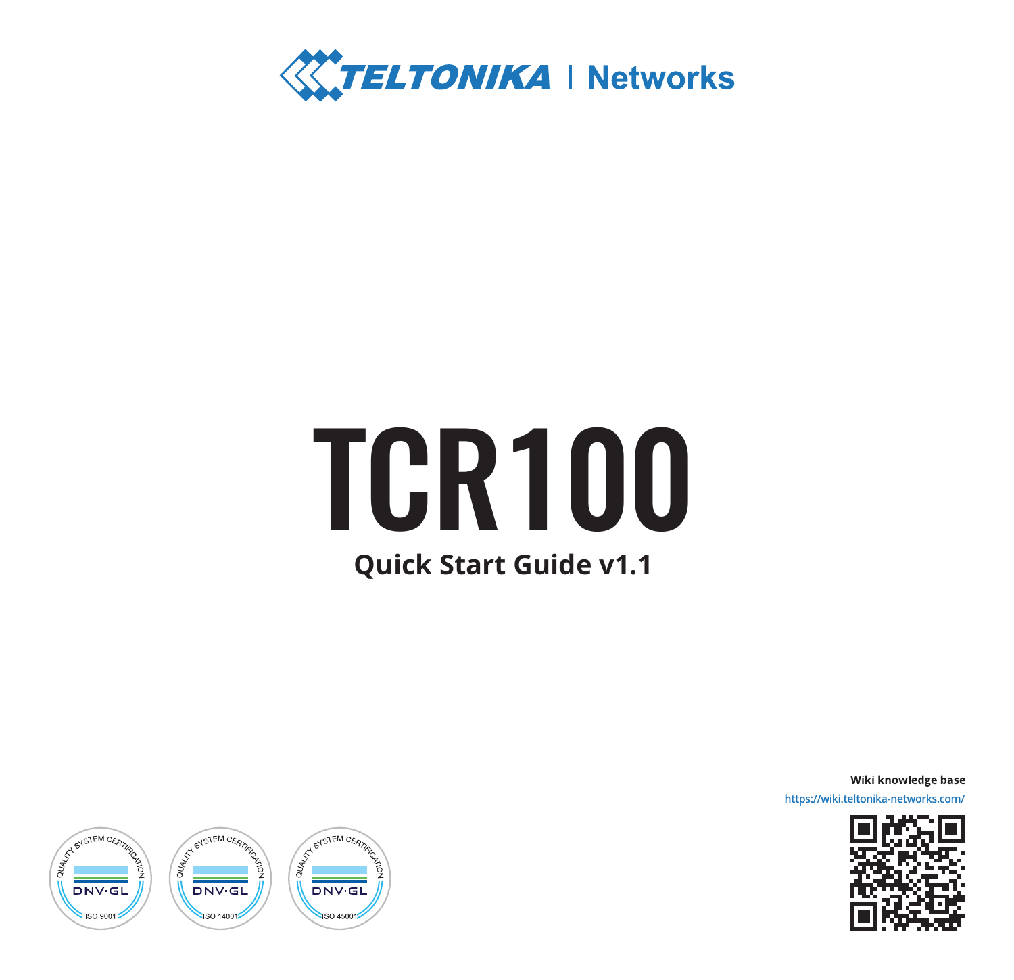

# **Quick Start Guide v1.1** TCR100

Wiki knowledge base

https://wiki.teltonika-network



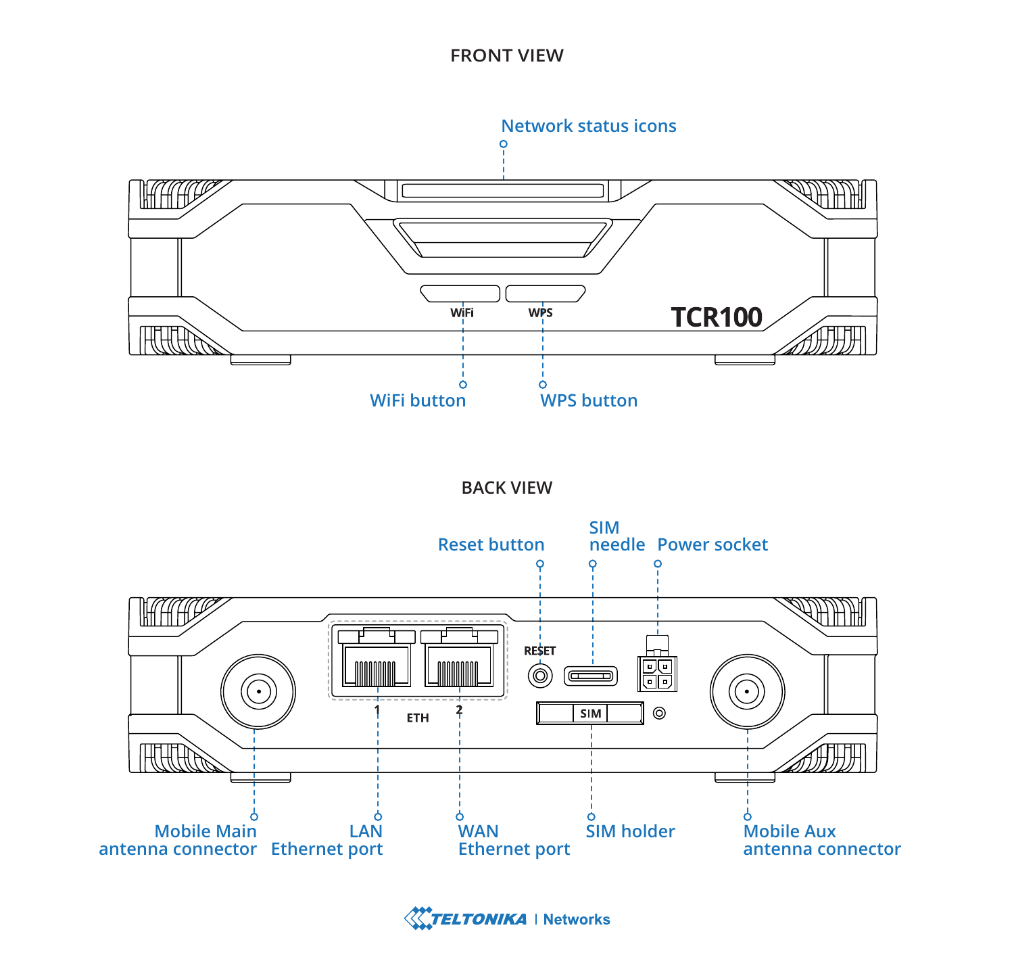#### **FRONT VIEW**



#### **BACK VIEW**



**XXTELTONIKA** | Networks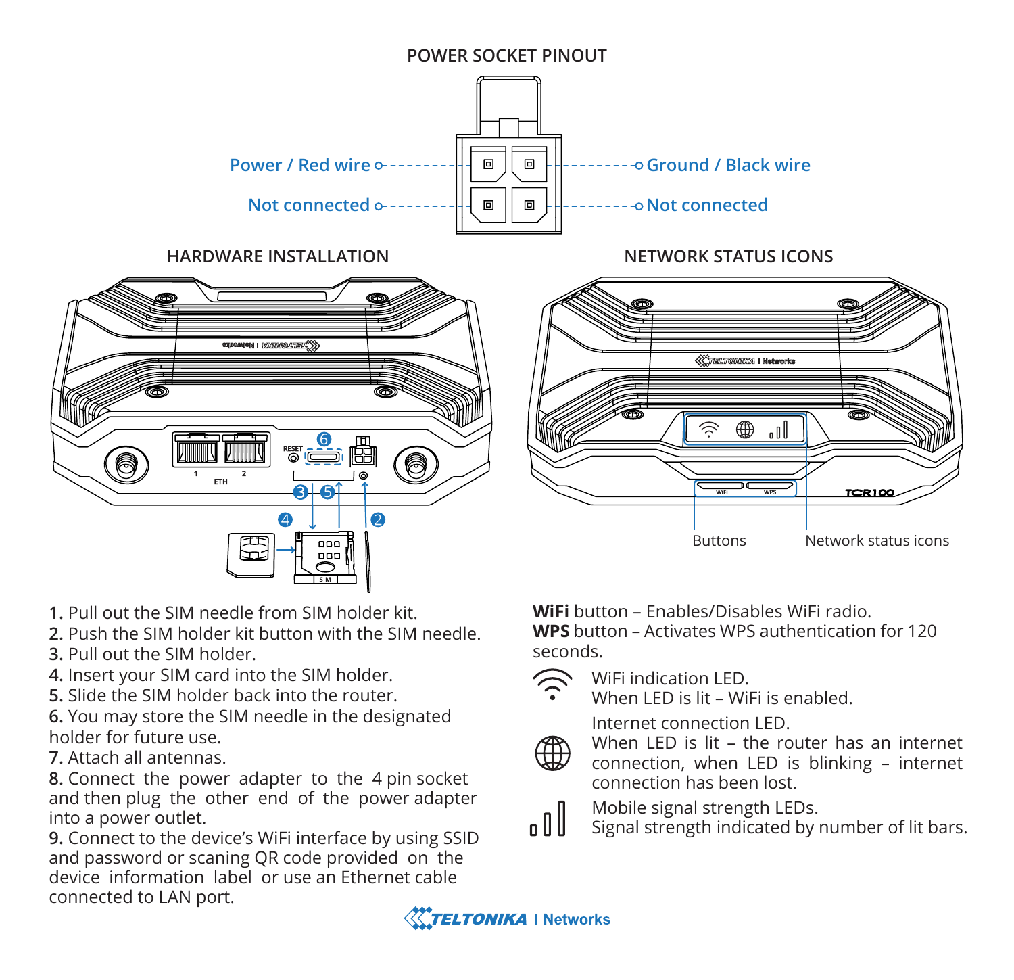

**1.** Pull out the SIM needle from SIM holder kit.

**2.** Push the SIM holder kit button with the SIM needle.

- **3.** Pull out the SIM holder.
- **4.** Insert your SIM card into the SIM holder.
- **5.** Slide the SIM holder back into the router.
- **6.** You may store the SIM needle in the designated holder for future use.
- **7.** Attach all antennas.

**8.** Connect the power adapter to the 4 pin socket and then plug the other end of the power adapter into a power outlet.

**9.** Connect to the device's WiFi interface by using SSID and password or scaning QR code provided on the device information label or use an Ethernet cable connected to LAN port.

**WiFi** button – Enables/Disables WiFi radio.

**WPS** button – Activates WPS authentication for 120 seconds.

WiFi indication LED.

When LED is lit – WiFi is enabled.

Internet connection LED.



When LED is lit – the router has an internet connection, when LED is blinking – internet connection has been lost.



Mobile signal strength LEDs.

Signal strength indicated by number of lit bars.

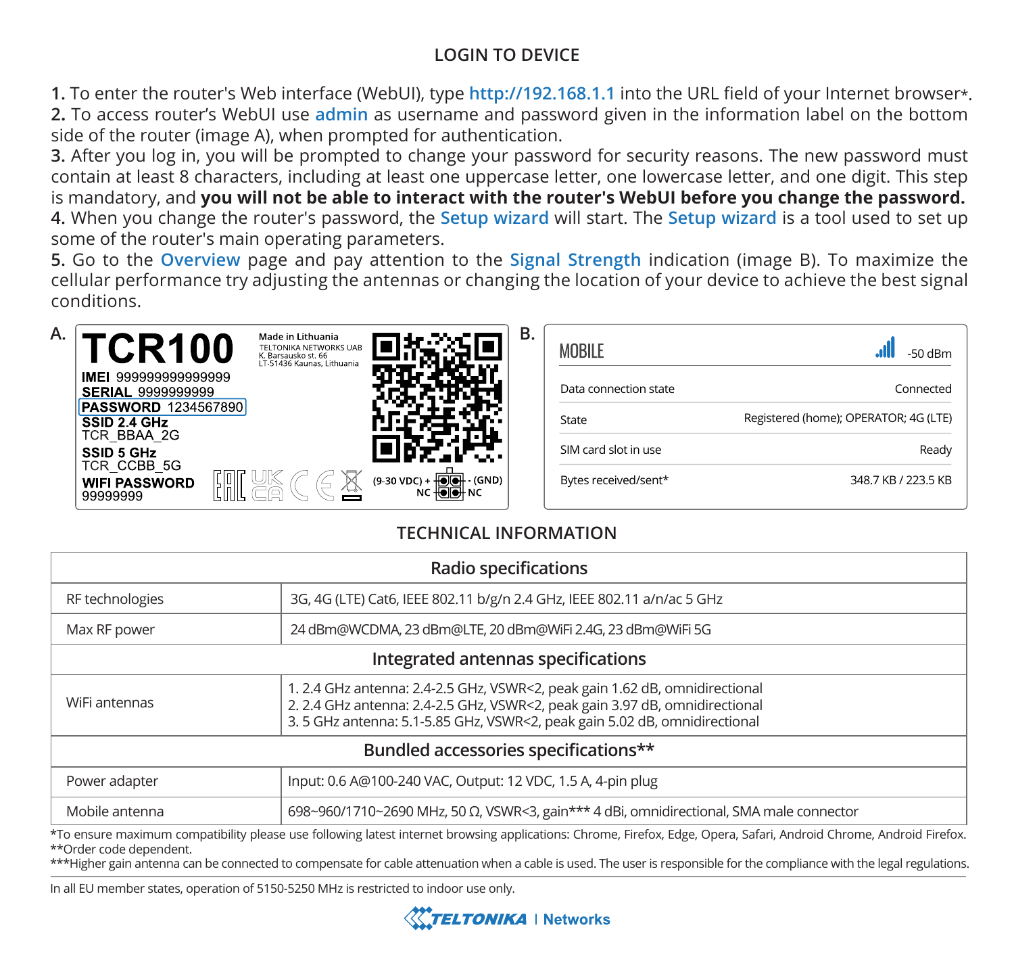### **LOGIN TO DEVICE**

**1.** To enter the router's Web interface (WebUI), type **http://192.168.1.1** into the URL field of your Internet browser\*. **2.** To access router's WebUI use **admin** as username and password given in the information label on the bottom side of the router (image A), when prompted for authentication.

**3.** After you log in, you will be prompted to change your password for security reasons. The new password must contain at least 8 characters, including at least one uppercase letter, one lowercase letter, and one digit. This step is mandatory, and **you will not be able to interact with the router's WebUI before you change the password. 4.** When you change the router's password, the **Setup wizard** will start. The **Setup wizard** is a tool used to set up some of the router's main operating parameters.

**5.** Go to the **Overview** page and pay attention to the **Signal Strength** indication (image B). To maximize the cellular performance try adjusting the antennas or changing the location of your device to achieve the best signal conditions.

| А. | <b>CR100</b>                                             | Made in Lithuania<br>TELTONÍKA NETWORKS UAB<br>K. Barsausko st. 66<br>LT-51436 Kaunas, Lithuania |                                                             | В. | MOBILE                | -50 dBm                               |
|----|----------------------------------------------------------|--------------------------------------------------------------------------------------------------|-------------------------------------------------------------|----|-----------------------|---------------------------------------|
|    | IME 999999999999999<br><b>SERIAL 9999999999</b>          |                                                                                                  |                                                             |    | Data connection state | Connected                             |
|    | <b>PASSWORD 1234567890</b><br>SSID 24 GHz<br>TCR BBAA 2G |                                                                                                  |                                                             |    | State                 | Registered (home); OPERATOR; 4G (LTE) |
|    | SSID 5 GHz<br>TCR CCBB 5G                                |                                                                                                  | .                                                           |    | SIM card slot in use  | Ready                                 |
|    | <b>WIFI PASSWORD</b><br>99999999                         | 綳<br>uk<br>Ca<br>与                                                                               | $\overline{ \bullet }$ (GND)<br>$(9-30 VDC) +$<br>NC FOR NC |    | Bytes received/sent*  | 348.7 KB / 223.5 KB                   |

## **TECHNICAL INFORMATION**

| Radio specifications                 |                                                                                                                                                                                                                                          |  |  |  |  |
|--------------------------------------|------------------------------------------------------------------------------------------------------------------------------------------------------------------------------------------------------------------------------------------|--|--|--|--|
| RF technologies                      | 3G, 4G (LTE) Cat6, IEEE 802.11 b/g/n 2.4 GHz, IEEE 802.11 a/n/ac 5 GHz                                                                                                                                                                   |  |  |  |  |
| Max RF power                         | 24 dBm@WCDMA, 23 dBm@LTE, 20 dBm@WiFi 2.4G, 23 dBm@WiFi 5G                                                                                                                                                                               |  |  |  |  |
| Integrated antennas specifications   |                                                                                                                                                                                                                                          |  |  |  |  |
| WiFi antennas                        | 1. 2.4 GHz antenna: 2.4-2.5 GHz, VSWR<2, peak gain 1.62 dB, omnidirectional<br>2. 2.4 GHz antenna: 2.4-2.5 GHz, VSWR<2, peak gain 3.97 dB, omnidirectional<br>3. 5 GHz antenna: 5.1-5.85 GHz, VSWR<2, peak gain 5.02 dB, omnidirectional |  |  |  |  |
| Bundled accessories specifications** |                                                                                                                                                                                                                                          |  |  |  |  |
| Power adapter                        | Input: 0.6 A@100-240 VAC, Output: 12 VDC, 1.5 A, 4-pin plug                                                                                                                                                                              |  |  |  |  |
| Mobile antenna                       | 698~960/1710~2690 MHz, 50 Ω, VSWR<3, gain*** 4 dBi, omnidirectional, SMA male connector                                                                                                                                                  |  |  |  |  |

\*To ensure maximum compatibility please use following latest internet browsing applications: Chrome, Firefox, Edge, Opera, Safari, Android Chrome, Android Firefox. \*\*Order code dependent.

\*\*\*Higher gain antenna can be connected to compensate for cable attenuation when a cable is used. The user is responsible for the compliance with the legal regulations.

In all EU member states, operation of 5150-5250 MHz is restricted to indoor use only.

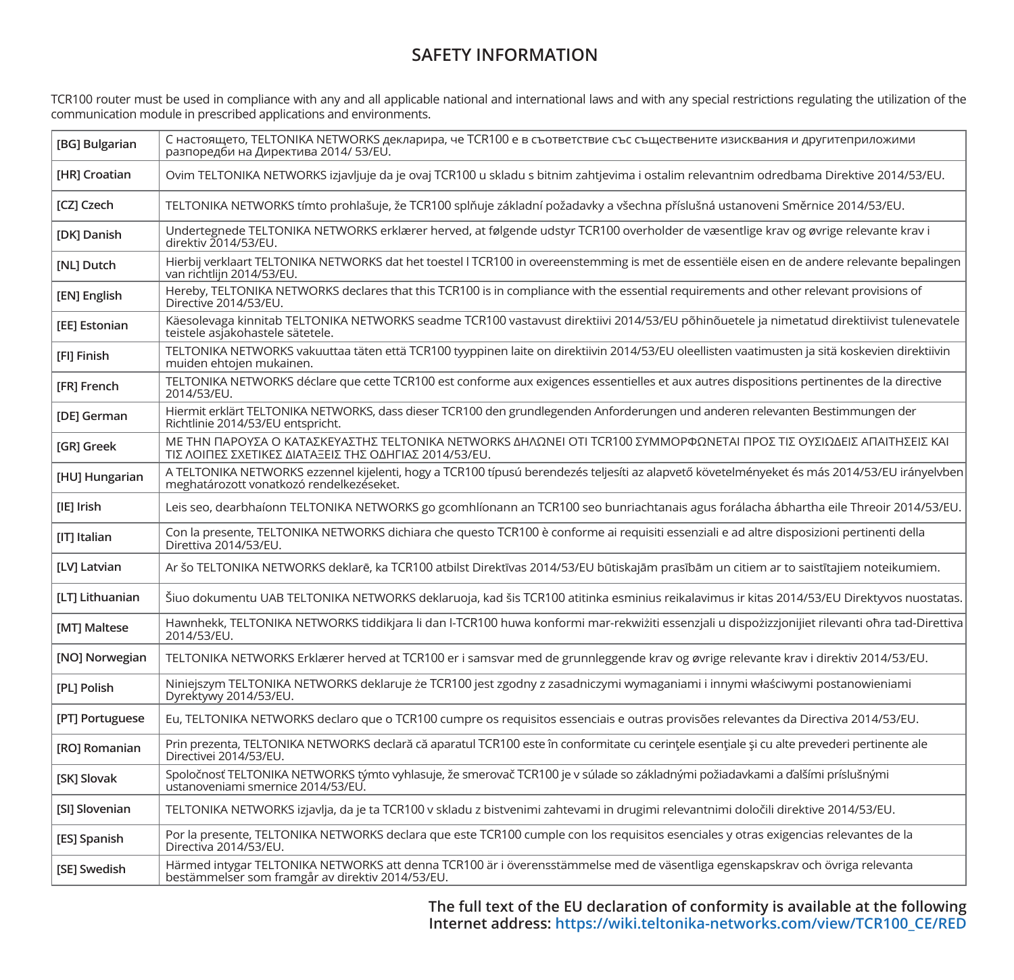#### **SAFETY INFORMATION**

TCR100 router must be used in compliance with any and all applicable national and international laws and with any special restrictions regulating the utilization of the communication module in prescribed applications and environments.

| [BG] Bulgarian      | С настоящето, TELTONIKA NETWORKS декларира, че TCR100 е в съответствие със съществените изисквания и другитеприложими<br>разпоредби на Директива 2014/ 53/EU.                            |
|---------------------|------------------------------------------------------------------------------------------------------------------------------------------------------------------------------------------|
| [HR] Croatian       | Ovim TELTONIKA NETWORKS izjavljuje da je ovaj TCR100 u skladu s bitnim zahtjevima i ostalim relevantnim odredbama Direktive 2014/53/EU.                                                  |
| [CZ] Czech          | TELTONIKA NETWORKS tímto prohlašuje, že TCR100 splňuje základní požadavky a všechna příslušná ustanoveni Směrnice 2014/53/EU.                                                            |
| [DK] Danish         | Undertegnede TELTONIKA NETWORKS erklærer herved, at følgende udstyr TCR100 overholder de væsentlige krav og øvrige relevante krav i<br>direktiv 2014/53/EU.                              |
| [NL] Dutch          | Hierbij verklaart TELTONIKA NETWORKS dat het toestel I TCR100 in overeenstemming is met de essentiële eisen en de andere relevante bepalingen<br>van richtliin 2014/53/EU.               |
| [EN] English        | Hereby, TELTONIKA NETWORKS declares that this TCR100 is in compliance with the essential requirements and other relevant provisions of<br>Directive 2014/53/EU.                          |
| [EE] Estonian       | Käesolevaga kinnitab TELTONIKA NETWORKS seadme TCR100 vastavust direktiivi 2014/53/EU põhinõuetele ja nimetatud direktiivist tulenevatele<br>teistele asiakohastele sätetele.            |
| [FI] Finish         | TELTONIKA NETWORKS vakuuttaa täten että TCR100 tyyppinen laite on direktiivin 2014/53/EU oleellisten vaatimusten ja sitä koskevien direktiivin<br>muiden ehtoien mukainen.               |
| <b>IFRI French</b>  | TELTONIKA NETWORKS déclare que cette TCR100 est conforme aux exigences essentielles et aux autres dispositions pertinentes de la directive<br>2014/53/EU.                                |
| <b>IDEI</b> German  | Hiermit erklärt TELTONIKA NETWORKS, dass dieser TCR100 den grundlegenden Anforderungen und anderen relevanten Bestimmungen der<br>Richtlinie 2014/53/EU entspricht.                      |
| <b>IGRI Greek</b>   | ΜΕ ΤΗΝ ΠΑΡΟΥΣΑ Ο ΚΑΤΑΣΚΕΥΑΣΤΗΣ ΤΕLΤΟΝΙΚΑ ΝΕΤWORKS ΔΗΛΩΝΕΙ ΟΤΙ ΤCR100 ΣΥΜΜΟΡΦΩΝΕΤΑΙ ΠΡΟΣ ΤΙΣ ΟΥΣΙΩΔΕΙΣ ΑΠΑΙΤΗΣΕΙΣ ΚΑΙ<br>ΤΙΣ ΛΟΙΠΕΣ ΣΧΕΤΙΚΕΣ ΔΙΑΤΑΞΕΙΣ ΤΗΣ ΟΔΗΓΙΑΣ 2014/53/ΕU.            |
| [HU] Hungarian      | A TELTONIKA NETWORKS ezzennel kijelenti, hogy a TCR100 típusú berendezés teljesíti az alapvető követelményeket és más 2014/53/EU irányelvben<br>meghatározott vonatkozó rendelkezéseket. |
| [IE] Irish          | Leis seo, dearbhaíonn TELTONIKA NETWORKS go gcomhlíonann an TCR100 seo bunriachtanais agus forálacha ábhartha eile Threoir 2014/53/EU.                                                   |
| [IT] Italian        | Con la presente, TELTONIKA NETWORKS dichiara che questo TCR100 è conforme ai requisiti essenziali e ad altre disposizioni pertinenti della<br>Direttiva 2014/53/EU.                      |
| [LV] Latvian        | Ar šo TELTONIKA NETWORKS deklarē, ka TCR100 atbilst Direktīvas 2014/53/EU būtiskajām prasībām un citiem ar to saistītajiem noteikumiem.                                                  |
| [LT] Lithuanian     | Šiuo dokumentu UAB TELTONIKA NETWORKS deklaruoja, kad šis TCR100 atitinka esminius reikalavimus ir kitas 2014/53/EU Direktyvos nuostatas.                                                |
| [MT] Maltese        | Hawnhekk, TELTONIKA NETWORKS tiddikjara li dan I-TCR100 huwa konformi mar-rekwiżiti essenzjali u dispożizzjonijiet rilevanti ofira tad-Direttiva<br>2014/53/EU.                          |
| [NO] Norwegian      | TELTONIKA NETWORKS Erklærer herved at TCR100 er i samsvar med de grunnleggende krav og øvrige relevante krav i direktiv 2014/53/EU.                                                      |
| [PL] Polish         | Niniejszym TELTONIKA NETWORKS deklaruje że TCR100 jest zgodny z zasadniczymi wymaganiami i innymi właściwymi postanowieniami<br>Dyrektywy 2014/53/EU.                                    |
| [PT] Portuguese     | Eu, TELTONIKA NETWORKS declaro que o TCR100 cumpre os requisitos essenciais e outras provisões relevantes da Directiva 2014/53/EU.                                                       |
| [RO] Romanian       | Prin prezenta, TELTONIKA NETWORKS declară că aparatul TCR100 este în conformitate cu cerintele esențiale și cu alte prevederi pertinente ale<br>Directivei 2014/53/EU.                   |
| [SK] Slovak         | Spoločnosť TELTONIKA NETWORKS týmto vyhlasuje, že smerovač TCR100 je v súlade so základnými požiadavkami a ďalšími príslušnými<br>ustanoveniami smernice 2014/53/EU.                     |
| [SI] Slovenian      | TELTONIKA NETWORKS izjavlja, da je ta TCR100 v skladu z bistvenimi zahtevami in drugimi relevantnimi določili direktive 2014/53/EU.                                                      |
| [ES] Spanish        | Por la presente, TELTONIKA NETWORKS declara que este TCR100 cumple con los requisitos esenciales y otras exigencias relevantes de la<br>Directiva 2014/53/EU.                            |
| <b>ISEI Swedish</b> | Härmed intygar TELTONIKA NETWORKS att denna TCR100 är i överensstämmelse med de väsentliga egenskapskrav och övriga relevanta<br>bestämmelser som framgår av direktiv 2014/53/EU.        |

**The full text of the EU declaration of conformity is available at the following Internet address: https://wiki.teltonika-networks.com/view/TCR100\_CE/RED**